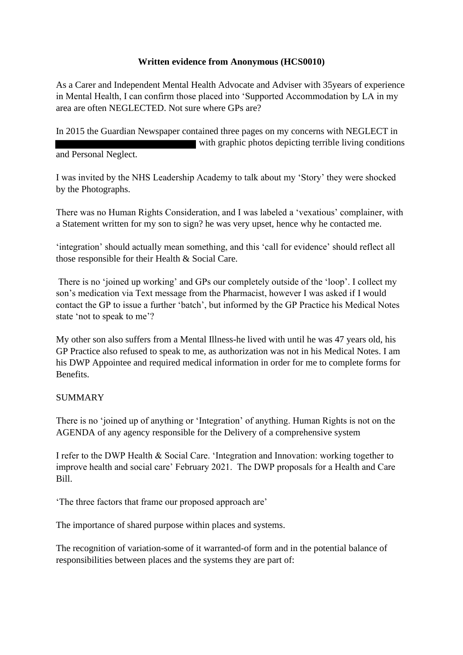## **Written evidence from Anonymous (HCS0010)**

As a Carer and Independent Mental Health Advocate and Adviser with 35years of experience in Mental Health, I can confirm those placed into 'Supported Accommodation by LA in my area are often NEGLECTED. Not sure where GPs are?

In 2015 the Guardian Newspaper contained three pages on my concerns with NEGLECT in with graphic photos depicting terrible living conditions and Personal Neglect.

I was invited by the NHS Leadership Academy to talk about my 'Story' they were shocked by the Photographs.

There was no Human Rights Consideration, and I was labeled a 'vexatious' complainer, with a Statement written for my son to sign? he was very upset, hence why he contacted me.

'integration' should actually mean something, and this 'call for evidence' should reflect all those responsible for their Health & Social Care.

There is no 'joined up working' and GPs our completely outside of the 'loop'. I collect my son's medication via Text message from the Pharmacist, however I was asked if I would contact the GP to issue a further 'batch', but informed by the GP Practice his Medical Notes state 'not to speak to me'?

My other son also suffers from a Mental Illness-he lived with until he was 47 years old, his GP Practice also refused to speak to me, as authorization was not in his Medical Notes. I am his DWP Appointee and required medical information in order for me to complete forms for **Benefits** 

## **SUMMARY**

There is no 'joined up of anything or 'Integration' of anything. Human Rights is not on the AGENDA of any agency responsible for the Delivery of a comprehensive system

I refer to the DWP Health & Social Care. 'Integration and Innovation: working together to improve health and social care' February 2021. The DWP proposals for a Health and Care Bill.

'The three factors that frame our proposed approach are'

The importance of shared purpose within places and systems.

The recognition of variation-some of it warranted-of form and in the potential balance of responsibilities between places and the systems they are part of: